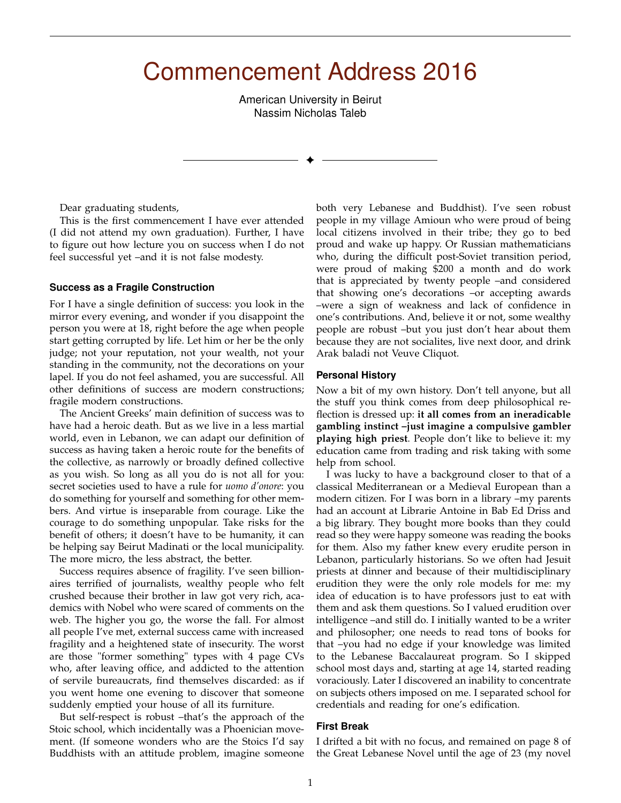# Commencement Address 2016

American University in Beirut Nassim Nicholas Taleb

✦

Dear graduating students,

This is the first commencement I have ever attended (I did not attend my own graduation). Further, I have to figure out how lecture you on success when I do not feel successful yet –and it is not false modesty.

### **Success as a Fragile Construction**

For I have a single definition of success: you look in the mirror every evening, and wonder if you disappoint the person you were at 18, right before the age when people start getting corrupted by life. Let him or her be the only judge; not your reputation, not your wealth, not your standing in the community, not the decorations on your lapel. If you do not feel ashamed, you are successful. All other definitions of success are modern constructions; fragile modern constructions.

The Ancient Greeks' main definition of success was to have had a heroic death. But as we live in a less martial world, even in Lebanon, we can adapt our definition of success as having taken a heroic route for the benefits of the collective, as narrowly or broadly defined collective as you wish. So long as all you do is not all for you: secret societies used to have a rule for *uomo d'onore*: you do something for yourself and something for other members. And virtue is inseparable from courage. Like the courage to do something unpopular. Take risks for the benefit of others; it doesn't have to be humanity, it can be helping say Beirut Madinati or the local municipality. The more micro, the less abstract, the better.

Success requires absence of fragility. I've seen billionaires terrified of journalists, wealthy people who felt crushed because their brother in law got very rich, academics with Nobel who were scared of comments on the web. The higher you go, the worse the fall. For almost all people I've met, external success came with increased fragility and a heightened state of insecurity. The worst are those "former something" types with 4 page CVs who, after leaving office, and addicted to the attention of servile bureaucrats, find themselves discarded: as if you went home one evening to discover that someone suddenly emptied your house of all its furniture.

But self-respect is robust –that's the approach of the Stoic school, which incidentally was a Phoenician movement. (If someone wonders who are the Stoics I'd say Buddhists with an attitude problem, imagine someone both very Lebanese and Buddhist). I've seen robust people in my village Amioun who were proud of being local citizens involved in their tribe; they go to bed proud and wake up happy. Or Russian mathematicians who, during the difficult post-Soviet transition period, were proud of making \$200 a month and do work that is appreciated by twenty people –and considered that showing one's decorations –or accepting awards –were a sign of weakness and lack of confidence in one's contributions. And, believe it or not, some wealthy people are robust –but you just don't hear about them because they are not socialites, live next door, and drink Arak baladi not Veuve Cliquot.

### **Personal History**

Now a bit of my own history. Don't tell anyone, but all the stuff you think comes from deep philosophical reflection is dressed up: **it all comes from an ineradicable gambling instinct –just imagine a compulsive gambler playing high priest**. People don't like to believe it: my education came from trading and risk taking with some help from school.

I was lucky to have a background closer to that of a classical Mediterranean or a Medieval European than a modern citizen. For I was born in a library –my parents had an account at Librarie Antoine in Bab Ed Driss and a big library. They bought more books than they could read so they were happy someone was reading the books for them. Also my father knew every erudite person in Lebanon, particularly historians. So we often had Jesuit priests at dinner and because of their multidisciplinary erudition they were the only role models for me: my idea of education is to have professors just to eat with them and ask them questions. So I valued erudition over intelligence –and still do. I initially wanted to be a writer and philosopher; one needs to read tons of books for that –you had no edge if your knowledge was limited to the Lebanese Baccalaureat program. So I skipped school most days and, starting at age 14, started reading voraciously. Later I discovered an inability to concentrate on subjects others imposed on me. I separated school for credentials and reading for one's edification.

## **First Break**

I drifted a bit with no focus, and remained on page 8 of the Great Lebanese Novel until the age of 23 (my novel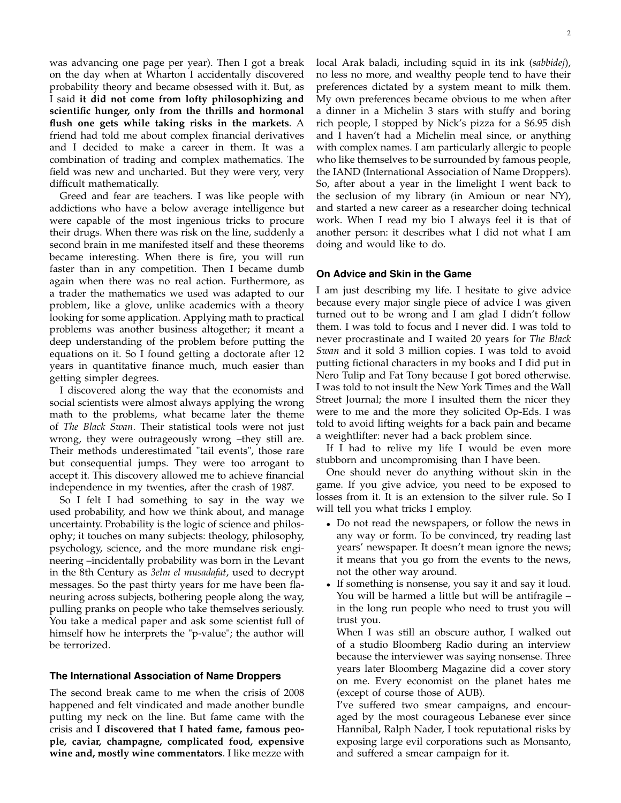was advancing one page per year). Then I got a break on the day when at Wharton I accidentally discovered probability theory and became obsessed with it. But, as I said **it did not come from lofty philosophizing and scientific hunger, only from the thrills and hormonal flush one gets while taking risks in the markets**. A friend had told me about complex financial derivatives and I decided to make a career in them. It was a combination of trading and complex mathematics. The field was new and uncharted. But they were very, very difficult mathematically.

Greed and fear are teachers. I was like people with addictions who have a below average intelligence but were capable of the most ingenious tricks to procure their drugs. When there was risk on the line, suddenly a second brain in me manifested itself and these theorems became interesting. When there is fire, you will run faster than in any competition. Then I became dumb again when there was no real action. Furthermore, as a trader the mathematics we used was adapted to our problem, like a glove, unlike academics with a theory looking for some application. Applying math to practical problems was another business altogether; it meant a deep understanding of the problem before putting the equations on it. So I found getting a doctorate after 12 years in quantitative finance much, much easier than getting simpler degrees.

I discovered along the way that the economists and social scientists were almost always applying the wrong math to the problems, what became later the theme of *The Black Swan*. Their statistical tools were not just wrong, they were outrageously wrong –they still are. Their methods underestimated "tail events", those rare but consequential jumps. They were too arrogant to accept it. This discovery allowed me to achieve financial independence in my twenties, after the crash of 1987.

So I felt I had something to say in the way we used probability, and how we think about, and manage uncertainty. Probability is the logic of science and philosophy; it touches on many subjects: theology, philosophy, psychology, science, and the more mundane risk engineering –incidentally probability was born in the Levant in the 8th Century as *3elm el musadafat*, used to decrypt messages. So the past thirty years for me have been flaneuring across subjects, bothering people along the way, pulling pranks on people who take themselves seriously. You take a medical paper and ask some scientist full of himself how he interprets the "p-value"; the author will be terrorized.

#### **The International Association of Name Droppers**

The second break came to me when the crisis of 2008 happened and felt vindicated and made another bundle putting my neck on the line. But fame came with the crisis and **I discovered that I hated fame, famous people, caviar, champagne, complicated food, expensive wine and, mostly wine commentators**. I like mezze with local Arak baladi, including squid in its ink (*sabbidej*), no less no more, and wealthy people tend to have their preferences dictated by a system meant to milk them. My own preferences became obvious to me when after a dinner in a Michelin 3 stars with stuffy and boring rich people, I stopped by Nick's pizza for a \$6.95 dish and I haven't had a Michelin meal since, or anything with complex names. I am particularly allergic to people who like themselves to be surrounded by famous people, the IAND (International Association of Name Droppers). So, after about a year in the limelight I went back to the seclusion of my library (in Amioun or near NY), and started a new career as a researcher doing technical work. When I read my bio I always feel it is that of another person: it describes what I did not what I am doing and would like to do.

# **On Advice and Skin in the Game**

I am just describing my life. I hesitate to give advice because every major single piece of advice I was given turned out to be wrong and I am glad I didn't follow them. I was told to focus and I never did. I was told to never procrastinate and I waited 20 years for *The Black Swan* and it sold 3 million copies. I was told to avoid putting fictional characters in my books and I did put in Nero Tulip and Fat Tony because I got bored otherwise. I was told to not insult the New York Times and the Wall Street Journal; the more I insulted them the nicer they were to me and the more they solicited Op-Eds. I was told to avoid lifting weights for a back pain and became a weightlifter: never had a back problem since.

If I had to relive my life I would be even more stubborn and uncompromising than I have been.

One should never do anything without skin in the game. If you give advice, you need to be exposed to losses from it. It is an extension to the silver rule. So I will tell you what tricks I employ.

- Do not read the newspapers, or follow the news in any way or form. To be convinced, try reading last years' newspaper. It doesn't mean ignore the news; it means that you go from the events to the news, not the other way around.
- If something is nonsense, you say it and say it loud. You will be harmed a little but will be antifragile – in the long run people who need to trust you will trust you.

When I was still an obscure author, I walked out of a studio Bloomberg Radio during an interview because the interviewer was saying nonsense. Three years later Bloomberg Magazine did a cover story on me. Every economist on the planet hates me (except of course those of AUB).

I've suffered two smear campaigns, and encouraged by the most courageous Lebanese ever since Hannibal, Ralph Nader, I took reputational risks by exposing large evil corporations such as Monsanto, and suffered a smear campaign for it.